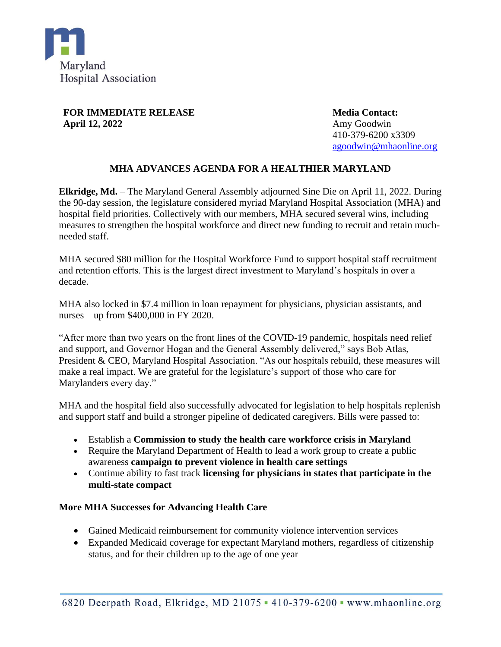

**FOR IMMEDIATE RELEASE April 12, 2022**

**Media Contact:** Amy Goodwin 410-379-6200 x3309 [agoodwin@mhaonline.org](mailto:agoodwin@mhaonline.org)

## **MHA ADVANCES AGENDA FOR A HEALTHIER MARYLAND**

**Elkridge, Md.** – The Maryland General Assembly adjourned Sine Die on April 11, 2022. During the 90-day session, the legislature considered myriad Maryland Hospital Association (MHA) and hospital field priorities. Collectively with our members, MHA secured several wins, including measures to strengthen the hospital workforce and direct new funding to recruit and retain muchneeded staff.

MHA secured \$80 million for the Hospital Workforce Fund to support hospital staff recruitment and retention efforts. This is the largest direct investment to Maryland's hospitals in over a decade.

MHA also locked in \$7.4 million in loan repayment for physicians, physician assistants, and nurses—up from \$400,000 in FY 2020.

"After more than two years on the front lines of the COVID-19 pandemic, hospitals need relief and support, and Governor Hogan and the General Assembly delivered," says Bob Atlas, President & CEO, Maryland Hospital Association. "As our hospitals rebuild, these measures will make a real impact. We are grateful for the legislature's support of those who care for Marylanders every day."

MHA and the hospital field also successfully advocated for legislation to help hospitals replenish and support staff and build a stronger pipeline of dedicated caregivers. Bills were passed to:

- Establish a **Commission to study the health care workforce crisis in Maryland**
- Require the Maryland Department of Health to lead a work group to create a public awareness **campaign to prevent violence in health care settings**
- Continue ability to fast track **licensing for physicians in states that participate in the multi-state compact**

## **More MHA Successes for Advancing Health Care**

- Gained Medicaid reimbursement for community violence intervention services
- Expanded Medicaid coverage for expectant Maryland mothers, regardless of citizenship status, and for their children up to the age of one year